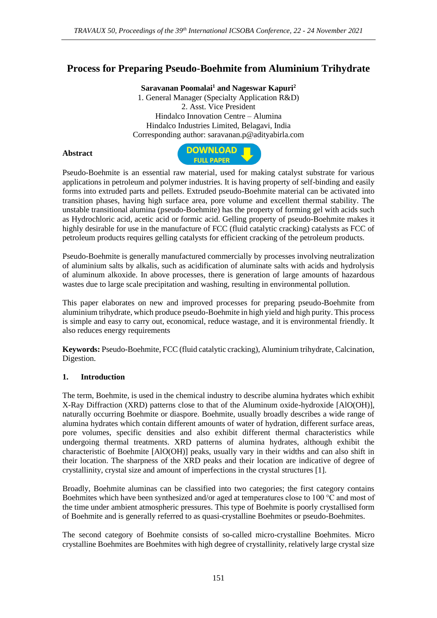# **Process for Preparing Pseudo-Boehmite from Aluminium Trihydrate**

**Saravanan Poomalai<sup>1</sup> and Nageswar Kapuri<sup>2</sup>**

1. General Manager (Specialty Application R&D) 2. Asst. Vice President Hindalco Innovation Centre – Alumina Hindalco Industries Limited, Belagavi, India Corresponding author: saravanan.p@adityabirla.com

### **Abstract**



Pseudo-Boehmite is an essential raw material, used for making catalyst substrate for various applications in petroleum and polymer industries. It is having property of self-binding and easily forms into extruded parts and pellets. Extruded pseudo-Boehmite material can be activated into transition phases, having high surface area, pore volume and excellent thermal stability. The unstable transitional alumina (pseudo-Boehmite) has the property of forming gel with acids such as Hydrochloric acid, acetic acid or formic acid. Gelling property of pseudo-Boehmite makes it highly desirable for use in the manufacture of FCC (fluid catalytic cracking) catalysts as FCC of petroleum products requires gelling catalysts for efficient cracking of the petroleum products.

Pseudo-Boehmite is generally manufactured commercially by processes involving neutralization of aluminium salts by alkalis, such as acidification of aluminate salts with acids and hydrolysis of aluminum alkoxide. In above processes, there is generation of large amounts of hazardous wastes due to large scale precipitation and washing, resulting in environmental pollution.

This paper elaborates on new and improved processes for preparing pseudo-Boehmite from aluminium trihydrate, which produce pseudo-Boehmite in high yield and high purity. This process is simple and easy to carry out, economical, reduce wastage, and it is environmental friendly. It also reduces energy requirements

**Keywords:** Pseudo-Boehmite, FCC (fluid catalytic cracking), Aluminium trihydrate, Calcination, Digestion.

### **1. Introduction**

The term, Boehmite, is used in the chemical industry to describe alumina hydrates which exhibit X-Ray Diffraction (XRD) patterns close to that of the Aluminum oxide-hydroxide [AlO(OH)], naturally occurring Boehmite or diaspore. Boehmite, usually broadly describes a wide range of alumina hydrates which contain different amounts of water of hydration, different surface areas, pore volumes, specific densities and also exhibit different thermal characteristics while undergoing thermal treatments. XRD patterns of alumina hydrates, although exhibit the characteristic of Boehmite [AlO(OH)] peaks, usually vary in their widths and can also shift in their location. The sharpness of the XRD peaks and their location are indicative of degree of crystallinity, crystal size and amount of imperfections in the crystal structures [1].

Broadly, Boehmite aluminas can be classified into two categories; the first category contains Boehmites which have been synthesized and/or aged at temperatures close to 100  $^{\circ}$ C and most of the time under ambient atmospheric pressures. This type of Boehmite is poorly crystallised form of Boehmite and is generally referred to as quasi-crystalline Boehmites or pseudo-Boehmites.

The second category of Boehmite consists of so-called micro-crystalline Boehmites. Micro crystalline Boehmites are Boehmites with high degree of crystallinity, relatively large crystal size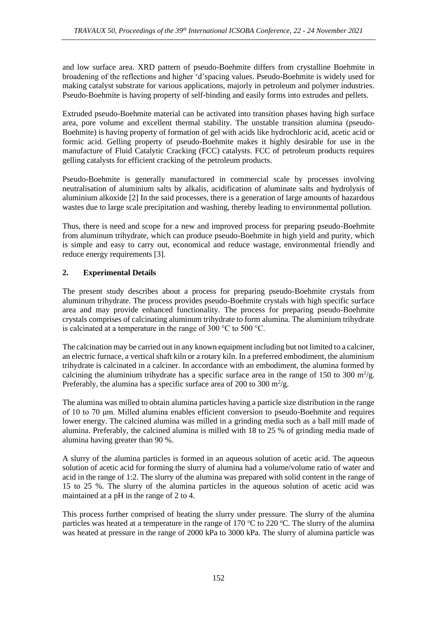and low surface area. XRD pattern of pseudo-Boehmite differs from crystalline Boehmite in broadening of the reflections and higher 'd'spacing values. Pseudo-Boehmite is widely used for making catalyst substrate for various applications, majorly in petroleum and polymer industries. Pseudo-Boehmite is having property of self-binding and easily forms into extrudes and pellets.

Extruded pseudo-Boehmite material can be activated into transition phases having high surface area, pore volume and excellent thermal stability. The unstable transition alumina (pseudo-Boehmite) is having property of formation of gel with acids like hydrochloric acid, acetic acid or formic acid. Gelling property of pseudo-Boehmite makes it highly desirable for use in the manufacture of Fluid Catalytic Cracking (FCC) catalysts. FCC of petroleum products requires gelling catalysts for efficient cracking of the petroleum products.

Pseudo-Boehmite is generally manufactured in commercial scale by processes involving neutralisation of aluminium salts by alkalis, acidification of aluminate salts and hydrolysis of aluminium alkoxide [2] In the said processes, there is a generation of large amounts of hazardous wastes due to large scale precipitation and washing, thereby leading to environmental pollution.

Thus, there is need and scope for a new and improved process for preparing pseudo-Boehmite from aluminum trihydrate, which can produce pseudo-Boehmite in high yield and purity, which is simple and easy to carry out, economical and reduce wastage, environmental friendly and reduce energy requirements [3].

## **2. Experimental Details**

The present study describes about a process for preparing pseudo-Boehmite crystals from aluminum trihydrate. The process provides pseudo-Boehmite crystals with high specific surface area and may provide enhanced functionality. The process for preparing pseudo-Boehmite crystals comprises of calcinating aluminum trihydrate to form alumina. The aluminium trihydrate is calcinated at a temperature in the range of 300 °C to 500 °C.

The calcination may be carried out in any known equipment including but not limited to a calciner, an electric furnace, a vertical shaft kiln or a rotary kiln. In a preferred embodiment, the aluminium trihydrate is calcinated in a calciner. In accordance with an embodiment, the alumina formed by calcining the aluminium trihydrate has a specific surface area in the range of 150 to 300  $m^2/g$ . Preferably, the alumina has a specific surface area of 200 to 300  $\mathrm{m}^2/\mathrm{g}$ .

The alumina was milled to obtain alumina particles having a particle size distribution in the range of 10 to 70 μm. Milled alumina enables efficient conversion to pseudo-Boehmite and requires lower energy. The calcined alumina was milled in a grinding media such as a ball mill made of alumina. Preferably, the calcined alumina is milled with 18 to 25 % of grinding media made of alumina having greater than 90 %.

A slurry of the alumina particles is formed in an aqueous solution of acetic acid. The aqueous solution of acetic acid for forming the slurry of alumina had a volume/volume ratio of water and acid in the range of 1:2. The slurry of the alumina was prepared with solid content in the range of 15 to 25 %. The slurry of the alumina particles in the aqueous solution of acetic acid was maintained at a pH in the range of 2 to 4.

This process further comprised of heating the slurry under pressure. The slurry of the alumina particles was heated at a temperature in the range of 170  $\degree$ C to 220  $\degree$ C. The slurry of the alumina was heated at pressure in the range of 2000 kPa to 3000 kPa. The slurry of alumina particle was